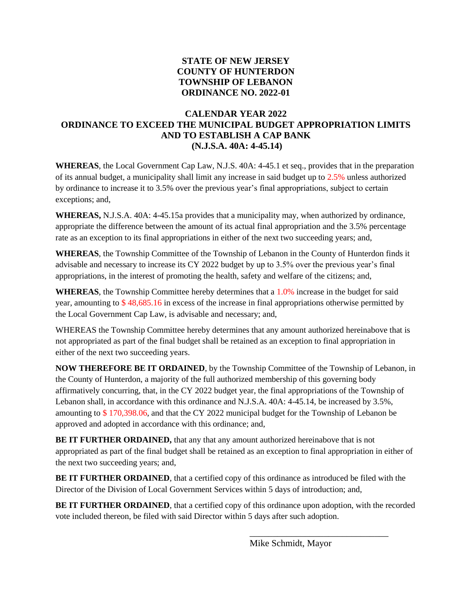## **STATE OF NEW JERSEY COUNTY OF HUNTERDON TOWNSHIP OF LEBANON ORDINANCE NO. 2022-01**

## **CALENDAR YEAR 2022 ORDINANCE TO EXCEED THE MUNICIPAL BUDGET APPROPRIATION LIMITS AND TO ESTABLISH A CAP BANK (N.J.S.A. 40A: 4-45.14)**

**WHEREAS**, the Local Government Cap Law, N.J.S. 40A: 4-45.1 et seq., provides that in the preparation of its annual budget, a municipality shall limit any increase in said budget up to 2.5% unless authorized by ordinance to increase it to 3.5% over the previous year's final appropriations, subject to certain exceptions; and,

**WHEREAS,** N.J.S.A. 40A: 4-45.15a provides that a municipality may, when authorized by ordinance, appropriate the difference between the amount of its actual final appropriation and the 3.5% percentage rate as an exception to its final appropriations in either of the next two succeeding years; and,

**WHEREAS**, the Township Committee of the Township of Lebanon in the County of Hunterdon finds it advisable and necessary to increase its CY 2022 budget by up to 3.5% over the previous year's final appropriations, in the interest of promoting the health, safety and welfare of the citizens; and,

WHEREAS, the Township Committee hereby determines that a 1.0% increase in the budget for said year, amounting to \$ 48,685.16 in excess of the increase in final appropriations otherwise permitted by the Local Government Cap Law, is advisable and necessary; and,

WHEREAS the Township Committee hereby determines that any amount authorized hereinabove that is not appropriated as part of the final budget shall be retained as an exception to final appropriation in either of the next two succeeding years.

**NOW THEREFORE BE IT ORDAINED**, by the Township Committee of the Township of Lebanon, in the County of Hunterdon, a majority of the full authorized membership of this governing body affirmatively concurring, that, in the CY 2022 budget year, the final appropriations of the Township of Lebanon shall, in accordance with this ordinance and N.J.S.A. 40A: 4-45.14, be increased by 3.5%, amounting to \$ 170,398.06, and that the CY 2022 municipal budget for the Township of Lebanon be approved and adopted in accordance with this ordinance; and,

**BE IT FURTHER ORDAINED,** that any that any amount authorized hereinabove that is not appropriated as part of the final budget shall be retained as an exception to final appropriation in either of the next two succeeding years; and,

**BE IT FURTHER ORDAINED**, that a certified copy of this ordinance as introduced be filed with the Director of the Division of Local Government Services within 5 days of introduction; and,

**BE IT FURTHER ORDAINED**, that a certified copy of this ordinance upon adoption, with the recorded vote included thereon, be filed with said Director within 5 days after such adoption.

Mike Schmidt, Mayor

\_\_\_\_\_\_\_\_\_\_\_\_\_\_\_\_\_\_\_\_\_\_\_\_\_\_\_\_\_\_